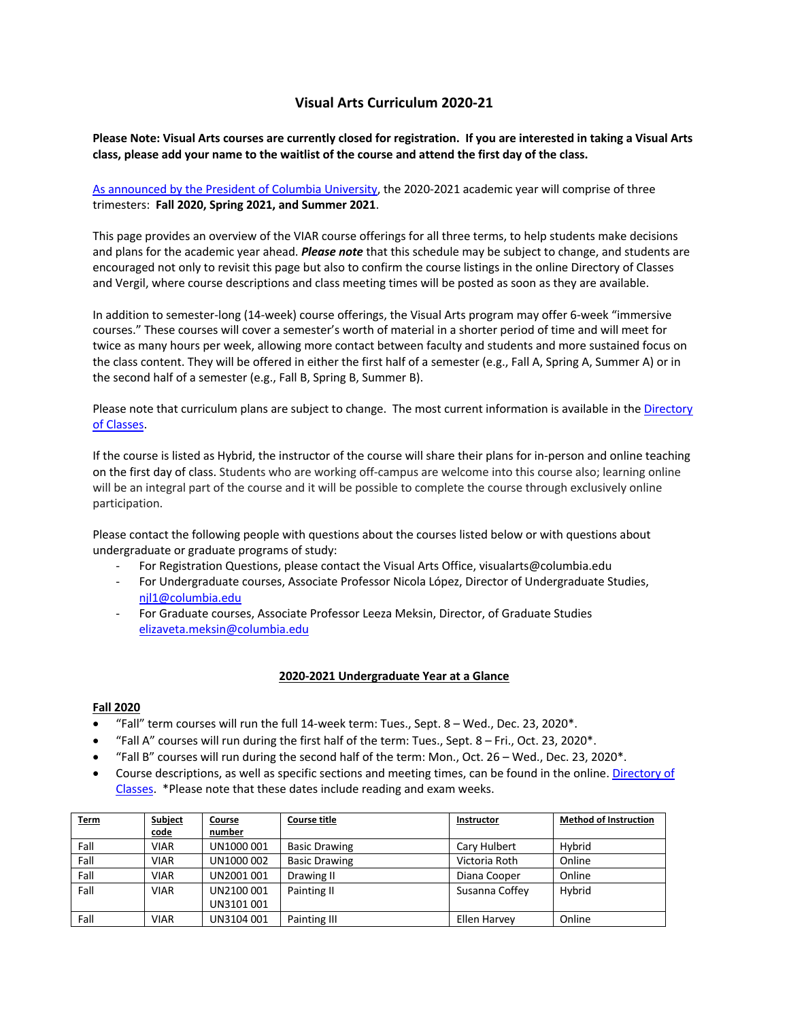# **Visual Arts Curriculum 2020-21**

## **Please Note: Visual Arts courses are currently closed for registration. If you are interested in taking a Visual Arts class, please add your name to the waitlist of the course and attend the first day of the class.**

As announced by the President of Columbia University, the 2020-2021 academic year will comprise of three trimesters: **Fall 2020, Spring 2021, and Summer 2021**.

This page provides an overview of the VIAR course offerings for all three terms, to help students make decisions and plans for the academic year ahead. *Please note* that this schedule may be subject to change, and students are encouraged not only to revisit this page but also to confirm the course listings in the online Directory of Classes and Vergil, where course descriptions and class meeting times will be posted as soon as they are available.

In addition to semester-long (14-week) course offerings, the Visual Arts program may offer 6-week "immersive courses." These courses will cover a semester's worth of material in a shorter period of time and will meet for twice as many hours per week, allowing more contact between faculty and students and more sustained focus on the class content. They will be offered in either the first half of a semester (e.g., Fall A, Spring A, Summer A) or in the second half of a semester (e.g., Fall B, Spring B, Summer B).

Please note that curriculum plans are subject to change. The most current information is available in the Directory of Classes.

If the course is listed as Hybrid, the instructor of the course will share their plans for in-person and online teaching on the first day of class. Students who are working off-campus are welcome into this course also; learning online will be an integral part of the course and it will be possible to complete the course through exclusively online participation.

Please contact the following people with questions about the courses listed below or with questions about undergraduate or graduate programs of study:

- For Registration Questions, please contact the Visual Arts Office, visualarts@columbia.edu
- For Undergraduate courses, Associate Professor Nicola López, Director of Undergraduate Studies, njl1@columbia.edu
- For Graduate courses, Associate Professor Leeza Meksin, Director, of Graduate Studies elizaveta.meksin@columbia.edu

#### **2020-2021 Undergraduate Year at a Glance**

## **Fall 2020**

- "Fall" term courses will run the full  $14$ -week term: Tues., Sept.  $8 -$  Wed., Dec. 23, 2020 $*$ .
- "Fall A" courses will run during the first half of the term: Tues., Sept. 8 Fri., Oct. 23, 2020\*.
- "Fall B" courses will run during the second half of the term: Mon., Oct. 26 Wed., Dec. 23, 2020\*.
- Course descriptions, as well as specific sections and meeting times, can be found in the online. Directory of Classes. \*Please note that these dates include reading and exam weeks.

| <b>Term</b> | Subject     | Course     | <b>Course title</b>  | Instructor     | <b>Method of Instruction</b> |
|-------------|-------------|------------|----------------------|----------------|------------------------------|
|             | <u>code</u> | number     |                      |                |                              |
| Fall        | <b>VIAR</b> | UN1000 001 | <b>Basic Drawing</b> | Cary Hulbert   | Hybrid                       |
| Fall        | <b>VIAR</b> | UN1000 002 | <b>Basic Drawing</b> | Victoria Roth  | Online                       |
| Fall        | <b>VIAR</b> | UN2001 001 | Drawing II           | Diana Cooper   | Online                       |
| Fall        | <b>VIAR</b> | UN2100 001 | Painting II          | Susanna Coffey | Hvbrid                       |
|             |             | UN3101 001 |                      |                |                              |
| Fall        | <b>VIAR</b> | UN3104 001 | Painting III         | Ellen Harvey   | Online                       |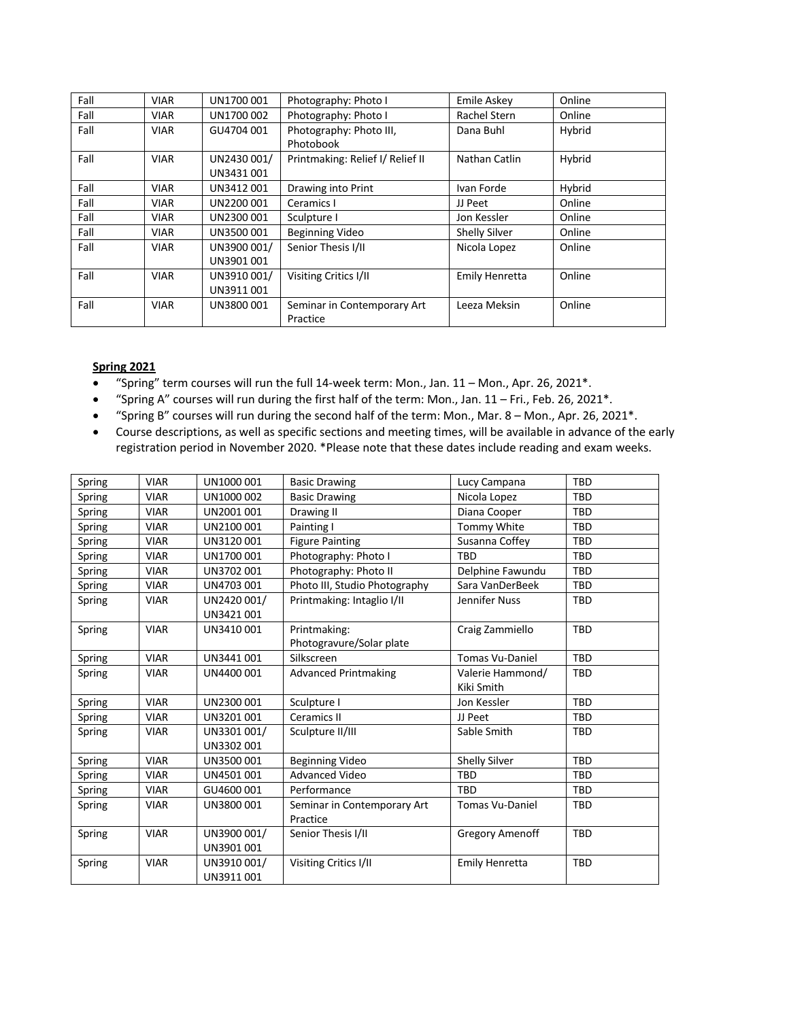| Fall | <b>VIAR</b> | UN1700 001                | Photography: Photo I                    | Emile Askey          | Online |
|------|-------------|---------------------------|-----------------------------------------|----------------------|--------|
| Fall | VIAR        | UN1700 002                | Photography: Photo I                    | Rachel Stern         | Online |
| Fall | <b>VIAR</b> | GU4704 001                | Photography: Photo III,<br>Photobook    | Dana Buhl            | Hybrid |
| Fall | <b>VIAR</b> | UN2430 001/<br>UN3431001  | Printmaking: Relief I/ Relief II        | Nathan Catlin        | Hybrid |
| Fall | <b>VIAR</b> | UN3412 001                | Drawing into Print                      | Ivan Forde           | Hybrid |
| Fall | VIAR        | UN2200 001                | Ceramics I                              | JJ Peet              | Online |
| Fall | <b>VIAR</b> | UN2300 001                | Sculpture I                             | Jon Kessler          | Online |
| Fall | <b>VIAR</b> | UN3500 001                | <b>Beginning Video</b>                  | <b>Shelly Silver</b> | Online |
| Fall | <b>VIAR</b> | UN3900 001/<br>UN3901 001 | Senior Thesis I/II                      | Nicola Lopez         | Online |
| Fall | <b>VIAR</b> | UN3910 001/<br>UN3911001  | Visiting Critics I/II                   | Emily Henretta       | Online |
| Fall | <b>VIAR</b> | UN3800 001                | Seminar in Contemporary Art<br>Practice | Leeza Meksin         | Online |

## **Spring 2021**

- "Spring" term courses will run the full 14-week term: Mon., Jan. 11 Mon., Apr. 26, 2021\*.
- "Spring A" courses will run during the first half of the term: Mon., Jan. 11 Fri., Feb. 26, 2021\*.
- "Spring B" courses will run during the second half of the term: Mon., Mar. 8 Mon., Apr. 26, 2021\*.
- Course descriptions, as well as specific sections and meeting times, will be available in advance of the early registration period in November 2020. \*Please note that these dates include reading and exam weeks.

| Spring | <b>VIAR</b> | UN1000 001  | <b>Basic Drawing</b>          | Lucy Campana           | <b>TBD</b> |
|--------|-------------|-------------|-------------------------------|------------------------|------------|
| Spring | <b>VIAR</b> | UN1000 002  | <b>Basic Drawing</b>          | Nicola Lopez           | <b>TBD</b> |
| Spring | <b>VIAR</b> | UN2001 001  | Drawing II                    | Diana Cooper           | <b>TBD</b> |
| Spring | <b>VIAR</b> | UN2100 001  | Painting I                    | Tommy White            | <b>TBD</b> |
| Spring | <b>VIAR</b> | UN3120 001  | <b>Figure Painting</b>        | Susanna Coffey         | <b>TBD</b> |
| Spring | <b>VIAR</b> | UN1700 001  | Photography: Photo I          | <b>TBD</b>             | <b>TBD</b> |
| Spring | <b>VIAR</b> | UN3702 001  | Photography: Photo II         | Delphine Fawundu       | <b>TBD</b> |
| Spring | <b>VIAR</b> | UN4703 001  | Photo III, Studio Photography | Sara VanDerBeek        | <b>TBD</b> |
| Spring | <b>VIAR</b> | UN2420 001/ | Printmaking: Intaglio I/II    | Jennifer Nuss          | <b>TBD</b> |
|        |             | UN3421 001  |                               |                        |            |
| Spring | <b>VIAR</b> | UN3410001   | Printmaking:                  | Craig Zammiello        | <b>TBD</b> |
|        |             |             | Photogravure/Solar plate      |                        |            |
| Spring | <b>VIAR</b> | UN3441 001  | Silkscreen                    | <b>Tomas Vu-Daniel</b> | <b>TBD</b> |
| Spring | <b>VIAR</b> | UN4400 001  | <b>Advanced Printmaking</b>   | Valerie Hammond/       | <b>TBD</b> |
|        |             |             |                               | Kiki Smith             |            |
| Spring | <b>VIAR</b> | UN2300 001  | Sculpture I                   | Jon Kessler            | <b>TBD</b> |
| Spring | <b>VIAR</b> | UN3201 001  | Ceramics II                   | JJ Peet                | <b>TBD</b> |
| Spring | <b>VIAR</b> | UN3301 001/ | Sculpture II/III              | Sable Smith            | <b>TBD</b> |
|        |             | UN3302 001  |                               |                        |            |
| Spring | <b>VIAR</b> | UN3500001   | <b>Beginning Video</b>        | Shelly Silver          | <b>TBD</b> |
| Spring | <b>VIAR</b> | UN4501 001  | <b>Advanced Video</b>         | <b>TBD</b>             | <b>TBD</b> |
| Spring | <b>VIAR</b> | GU4600 001  | Performance                   | <b>TBD</b>             | TBD        |
| Spring | <b>VIAR</b> | UN3800 001  | Seminar in Contemporary Art   | <b>Tomas Vu-Daniel</b> | <b>TBD</b> |
|        |             |             | Practice                      |                        |            |
| Spring | <b>VIAR</b> | UN3900 001/ | Senior Thesis I/II            | <b>Gregory Amenoff</b> | <b>TBD</b> |
|        |             | UN3901 001  |                               |                        |            |
| Spring | <b>VIAR</b> | UN3910 001/ | Visiting Critics I/II         | Emily Henretta         | <b>TBD</b> |
|        |             | UN3911001   |                               |                        |            |